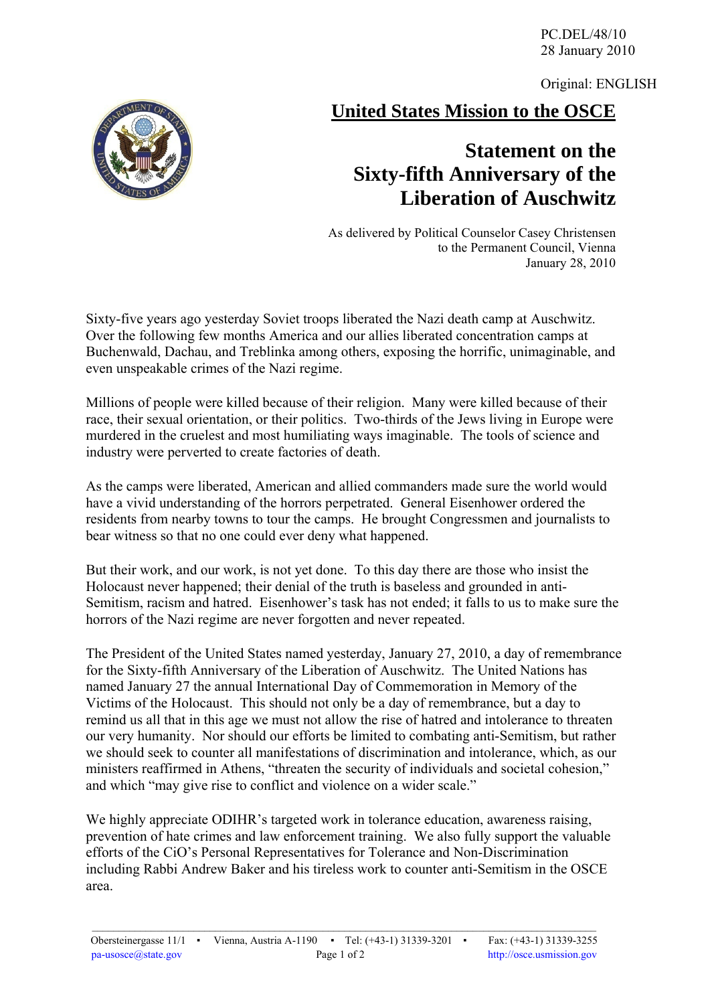PC.DEL/48/10 28 January 2010

Original: ENGLISH

**United States Mission to the OSCE**

## **Statement on the Sixty-fifth Anniversary of the Liberation of Auschwitz**

As delivered by Political Counselor Casey Christensen to the Permanent Council, Vienna January 28, 2010

Sixty-five years ago yesterday Soviet troops liberated the Nazi death camp at Auschwitz. Over the following few months America and our allies liberated concentration camps at Buchenwald, Dachau, and Treblinka among others, exposing the horrific, unimaginable, and even unspeakable crimes of the Nazi regime.

Millions of people were killed because of their religion. Many were killed because of their race, their sexual orientation, or their politics. Two-thirds of the Jews living in Europe were murdered in the cruelest and most humiliating ways imaginable. The tools of science and industry were perverted to create factories of death.

As the camps were liberated, American and allied commanders made sure the world would have a vivid understanding of the horrors perpetrated. General Eisenhower ordered the residents from nearby towns to tour the camps. He brought Congressmen and journalists to bear witness so that no one could ever deny what happened.

But their work, and our work, is not yet done. To this day there are those who insist the Holocaust never happened; their denial of the truth is baseless and grounded in anti-Semitism, racism and hatred. Eisenhower's task has not ended; it falls to us to make sure the horrors of the Nazi regime are never forgotten and never repeated.

The President of the United States named yesterday, January 27, 2010, a day of remembrance for the Sixty-fifth Anniversary of the Liberation of Auschwitz. The United Nations has named January 27 the annual International Day of Commemoration in Memory of the Victims of the Holocaust. This should not only be a day of remembrance, but a day to remind us all that in this age we must not allow the rise of hatred and intolerance to threaten our very humanity. Nor should our efforts be limited to combating anti-Semitism, but rather we should seek to counter all manifestations of discrimination and intolerance, which, as our ministers reaffirmed in Athens, "threaten the security of individuals and societal cohesion," and which "may give rise to conflict and violence on a wider scale."

We highly appreciate ODIHR's targeted work in tolerance education, awareness raising, prevention of hate crimes and law enforcement training. We also fully support the valuable efforts of the CiO's Personal Representatives for Tolerance and Non-Discrimination including Rabbi Andrew Baker and his tireless work to counter anti-Semitism in the OSCE area.